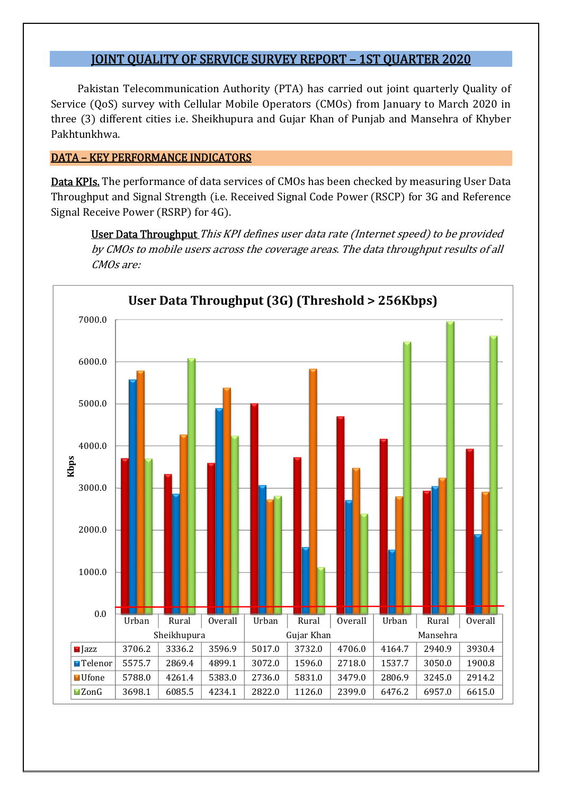# JOINT QUALITY OF SERVICE SURVEY REPORT – 1ST QUARTER 2020

Pakistan Telecommunication Authority (PTA) has carried out joint quarterly Quality of Service (QoS) survey with Cellular Mobile Operators (CMOs) from January to March 2020 in three (3) different cities i.e. Sheikhupura and Gujar Khan of Punjab and Mansehra of Khyber Pakhtunkhwa.

## DATA – KEY PERFORMANCE INDICATORS

Data KPIs. The performance of data services of CMOs has been checked by measuring User Data Throughput and Signal Strength (i.e. Received Signal Code Power (RSCP) for 3G and Reference Signal Receive Power (RSRP) for 4G).

User Data Throughput This KPI defines user data rate (Internet speed) to be provided by CMOs to mobile users across the coverage areas. The data throughput results of all CMOs are:

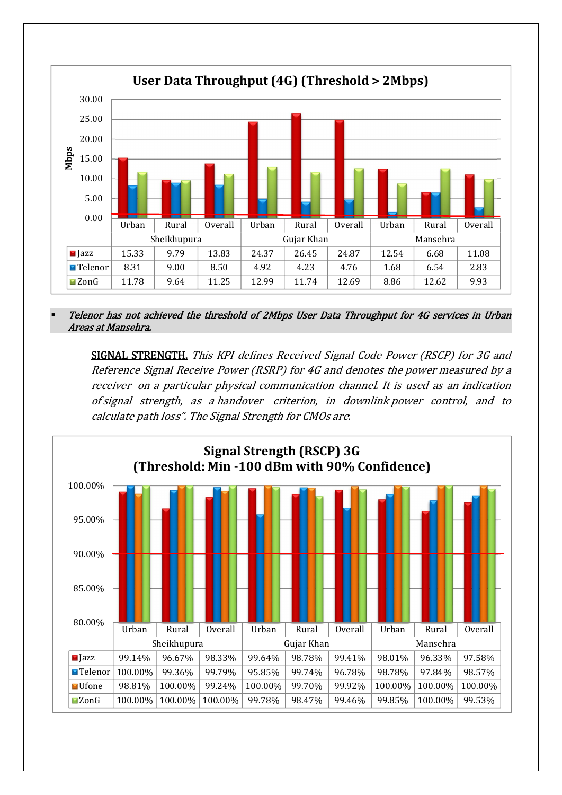

 Telenor has not achieved the threshold of 2Mbps User Data Throughput for 4G services in Urban Areas at Mansehra.

SIGNAL STRENGTH. This KPI defines Received Signal Code Power (RSCP) for 3G and Reference Signal Receive Power (RSRP) for 4G and denotes the power measured by a receiver on a particular physical communication channel. It is used as an indication of signal strength, as a handover criterion, in downlink power control, and to calculate path loss". The Signal Strength for CMOs are:

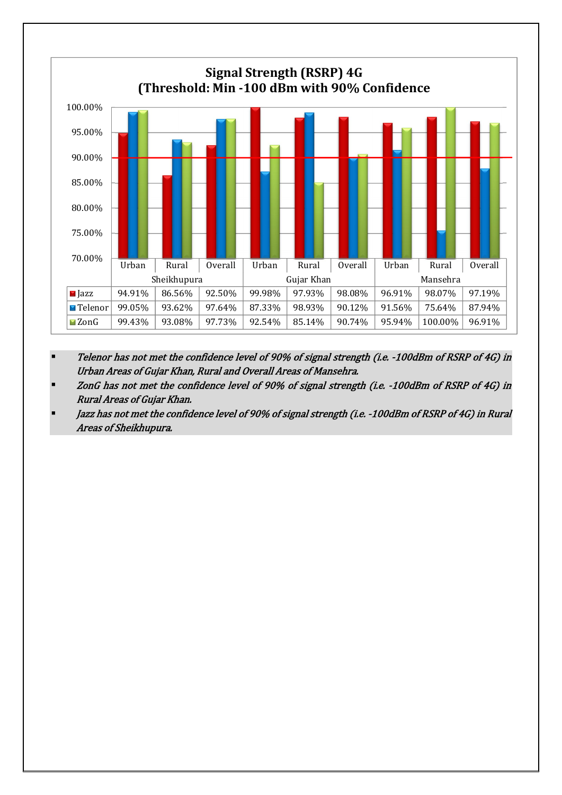

- Telenor has not met the confidence level of 90% of signal strength (i.e. -100dBm of RSRP of 4G) in Urban Areas of Gujar Khan, Rural and Overall Areas of Mansehra.
- ZonG has not met the confidence level of 90% of signal strength (i.e. -100dBm of RSRP of 4G) in Rural Areas of Gujar Khan.
- Jazz has not met the confidence level of 90% of signal strength (i.e. -100dBm of RSRP of 4G) in Rural Areas of Sheikhupura.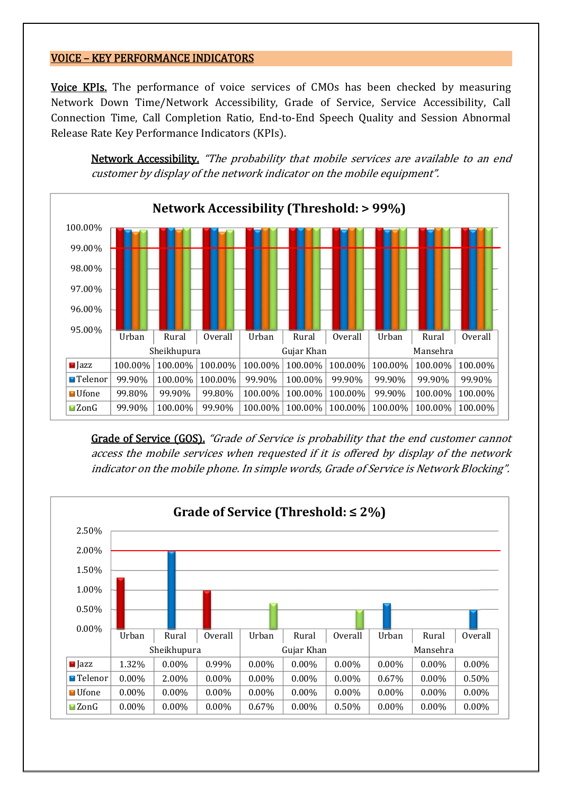### VOICE – KEY PERFORMANCE INDICATORS

Voice KPIs. The performance of voice services of CMOs has been checked by measuring Network Down Time/Network Accessibility, Grade of Service, Service Accessibility, Call Connection Time, Call Completion Ratio, End-to-End Speech Quality and Session Abnormal Release Rate Key Performance Indicators (KPIs).

Network Accessibility. "The probability that mobile services are available to an end customer by display of the network indicator on the mobile equipment".



Grade of Service (GOS). "Grade of Service is probability that the end customer cannot access the mobile services when requested if it is offered by display of the network indicator on the mobile phone. In simple words, Grade of Service is Network Blocking".

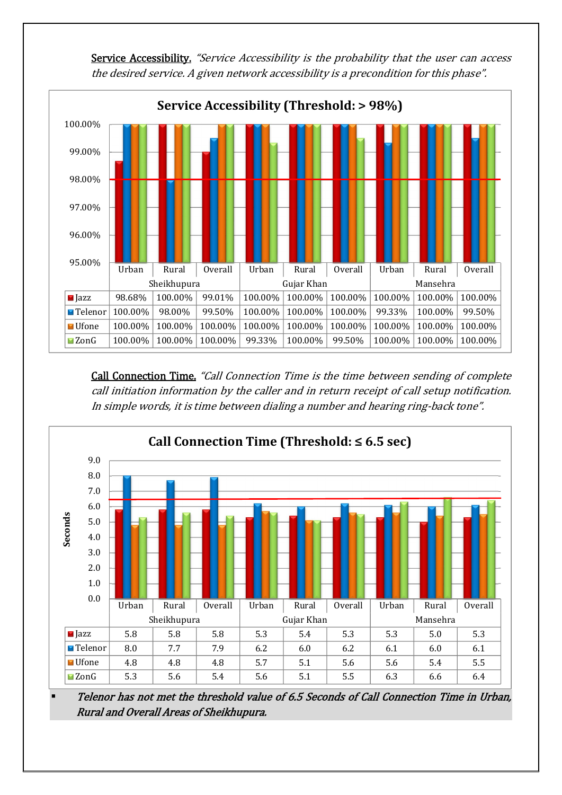



Call Connection Time. "Call Connection Time is the time between sending of complete call initiation information by the caller and in return receipt of call setup notification. In simple words, it is time between dialing a number and hearing ring-back tone".



 Telenor has not met the threshold value of 6.5 Seconds of Call Connection Time in Urban, Rural and Overall Areas of Sheikhupura.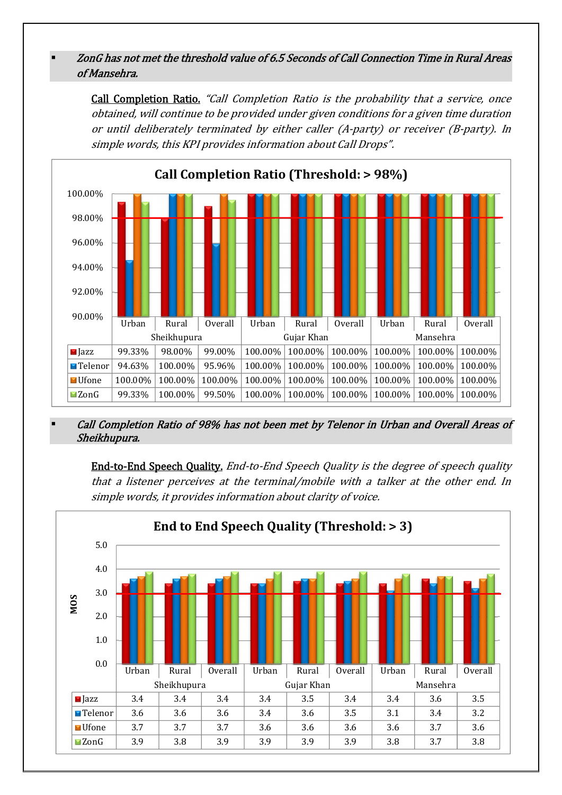# ZonG has not met the threshold value of 6.5 Seconds of Call Connection Time in Rural Areas of Mansehra.

Call Completion Ratio. "Call Completion Ratio is the probability that a service, once obtained, will continue to be provided under given conditions for a given time duration or until deliberately terminated by either caller (A-party) or receiver (B-party). In simple words, this KPI provides information about Call Drops".



#### Call Completion Ratio of 98% has not been met by Telenor in Urban and Overall Areas of Sheikhupura.

End-to-End Speech Quality. End-to-End Speech Quality is the degree of speech quality that a listener perceives at the terminal/mobile with a talker at the other end. In simple words, it provides information about clarity of voice.

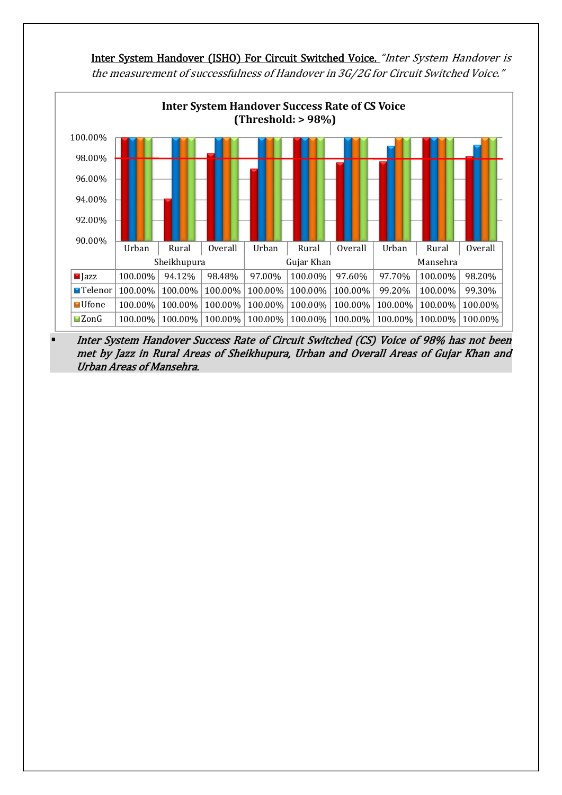

Inter System Handover (ISHO) For Circuit Switched Voice. "Inter System Handover is the measurement of successfulness of Handover in 3G/2G for Circuit Switched Voice."

 Inter System Handover Success Rate of Circuit Switched (CS) Voice of 98% has not been met by Jazz in Rural Areas of Sheikhupura, Urban and Overall Areas of Gujar Khan and Urban Areas of Mansehra.